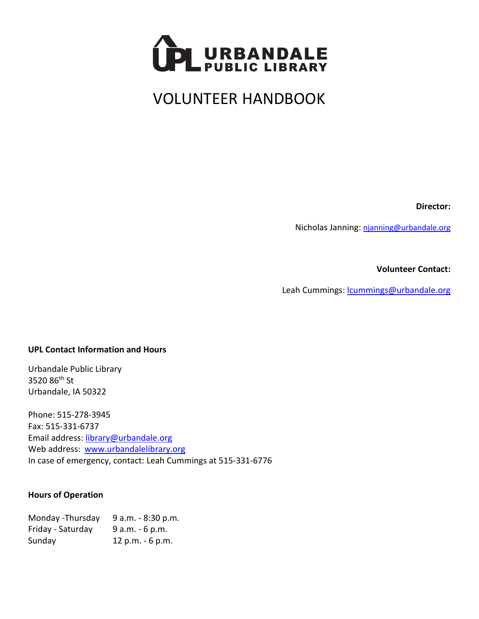

# VOLUNTEER HANDBOOK

**Director:**

Nicholas Janning: [njanning@urbandale.org](mailto:njanning@urbandale.org)

**Volunteer Contact:**

Leah Cummings: [lcummings@urbandale.org](mailto:lcummings@urbandale.org)

#### **UPL Contact Information and Hours**

Urbandale Public Library 3520 86th St Urbandale, IA 50322

Phone: 515-278-3945 Fax: 515-331-6737 Email address: [library@urbandale.org](mailto:library@urbandale.org) Web address: [www.urbandalelibrary.org](http://www.urbandalelibrary.org/) In case of emergency, contact: Leah Cummings at 515-331-6776

#### **Hours of Operation**

| Monday - Thursday | 9 a.m. - 8:30 p.m. |
|-------------------|--------------------|
| Friday - Saturday | $9 a.m. - 6 p.m.$  |
| Sunday            | 12 p.m. - 6 p.m.   |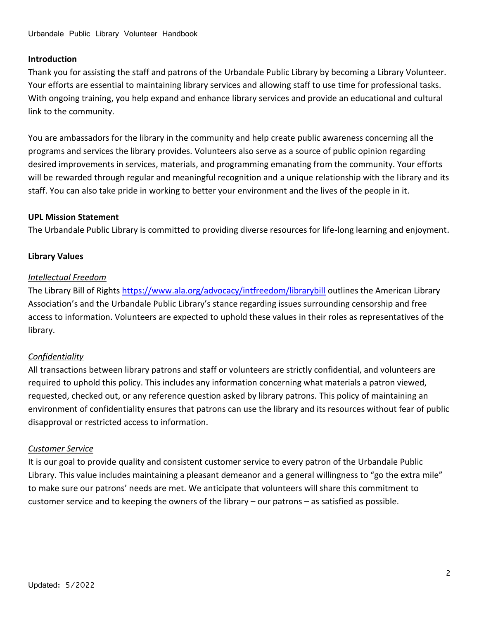## **Introduction**

Thank you for assisting the staff and patrons of the Urbandale Public Library by becoming a Library Volunteer. Your efforts are essential to maintaining library services and allowing staff to use time for professional tasks. With ongoing training, you help expand and enhance library services and provide an educational and cultural link to the community.

You are ambassadors for the library in the community and help create public awareness concerning all the programs and services the library provides. Volunteers also serve as a source of public opinion regarding desired improvements in services, materials, and programming emanating from the community. Your efforts will be rewarded through regular and meaningful recognition and a unique relationship with the library and its staff. You can also take pride in working to better your environment and the lives of the people in it.

## **UPL Mission Statement**

The Urbandale Public Library is committed to providing diverse resources for life-long learning and enjoyment.

## **Library Values**

#### *Intellectual Freedom*

The Library Bill of Rights <https://www.ala.org/advocacy/intfreedom/librarybill> outlines the American Library Association's and the Urbandale Public Library's stance regarding issues surrounding censorship and free access to information. Volunteers are expected to uphold these values in their roles as representatives of the library.

## *Confidentiality*

All transactions between library patrons and staff or volunteers are strictly confidential, and volunteers are required to uphold this policy. This includes any information concerning what materials a patron viewed, requested, checked out, or any reference question asked by library patrons. This policy of maintaining an environment of confidentiality ensures that patrons can use the library and its resources without fear of public disapproval or restricted access to information.

## *Customer Service*

It is our goal to provide quality and consistent customer service to every patron of the Urbandale Public Library. This value includes maintaining a pleasant demeanor and a general willingness to "go the extra mile" to make sure our patrons' needs are met. We anticipate that volunteers will share this commitment to customer service and to keeping the owners of the library – our patrons – as satisfied as possible.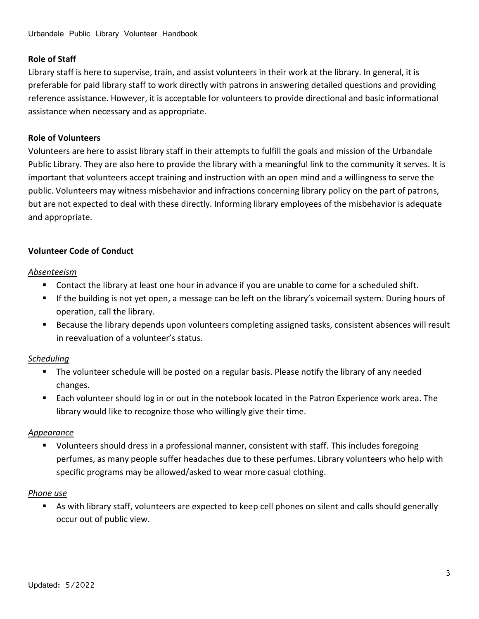## **Role of Staff**

Library staff is here to supervise, train, and assist volunteers in their work at the library. In general, it is preferable for paid library staff to work directly with patrons in answering detailed questions and providing reference assistance. However, it is acceptable for volunteers to provide directional and basic informational assistance when necessary and as appropriate.

#### **Role of Volunteers**

Volunteers are here to assist library staff in their attempts to fulfill the goals and mission of the Urbandale Public Library. They are also here to provide the library with a meaningful link to the community it serves. It is important that volunteers accept training and instruction with an open mind and a willingness to serve the public. Volunteers may witness misbehavior and infractions concerning library policy on the part of patrons, but are not expected to deal with these directly. Informing library employees of the misbehavior is adequate and appropriate.

## **Volunteer Code of Conduct**

#### *Absenteeism*

- Contact the library at least one hour in advance if you are unable to come for a scheduled shift.
- If the building is not yet open, a message can be left on the library's voicemail system. During hours of operation, call the library.
- Because the library depends upon volunteers completing assigned tasks, consistent absences will result in reevaluation of a volunteer's status.

## *Scheduling*

- The volunteer schedule will be posted on a regular basis. Please notify the library of any needed changes.
- Each volunteer should log in or out in the notebook located in the Patron Experience work area. The library would like to recognize those who willingly give their time.

## *Appearance*

■ Volunteers should dress in a professional manner, consistent with staff. This includes foregoing perfumes, as many people suffer headaches due to these perfumes. Library volunteers who help with specific programs may be allowed/asked to wear more casual clothing.

## *Phone use*

■ As with library staff, volunteers are expected to keep cell phones on silent and calls should generally occur out of public view.